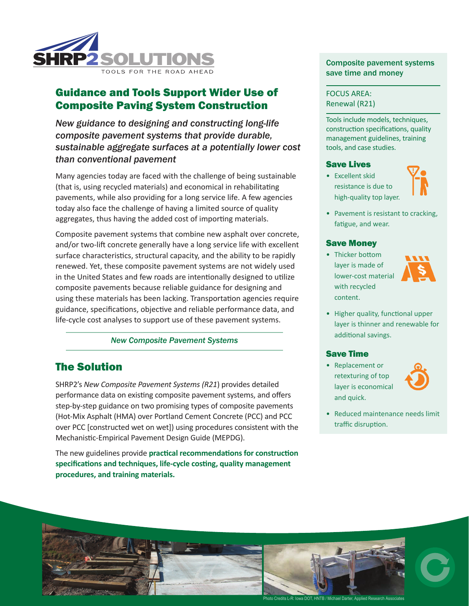

# Guidance and Tools Support Wider Use of Composite Paving System Construction

*New guidance to designing and constructing long-life composite pavement systems that provide durable, sustainable aggregate surfaces at a potentially lower cost than conventional pavement*

Many agencies today are faced with the challenge of being sustainable (that is, using recycled materials) and economical in rehabilitating pavements, while also providing for a long service life. A few agencies today also face the challenge of having a limited source of quality aggregates, thus having the added cost of importing materials.

Composite pavement systems that combine new asphalt over concrete, and/or two-lift concrete generally have a long service life with excellent surface characteristics, structural capacity, and the ability to be rapidly renewed. Yet, these composite pavement systems are not widely used in the United States and few roads are intentionally designed to utilize composite pavements because reliable guidance for designing and using these materials has been lacking. Transportation agencies require guidance, specifications, objective and reliable performance data, and life-cycle cost analyses to support use of these pavement systems.

### *New Composite Pavement Systems*

## The Solution

SHRP2's *New Composite Pavement Systems (R21*) provides detailed performance data on existing composite pavement systems, and offers step-by-step guidance on two promising types of composite pavements (Hot-Mix Asphalt (HMA) over Portland Cement Concrete (PCC) and PCC over PCC [constructed wet on wet]) using procedures consistent with the Mechanistic-Empirical Pavement Design Guide (MEPDG).

The new guidelines provide **practical recommendations for construction specifications and techniques, life-cycle costing, quality management procedures, and training materials.**

### Composite pavement systems save time and money

### FOCUS AREA: Renewal (R21)

Tools include models, techniques, construction specifications, quality management guidelines, training tools, and case studies.

#### Save Lives

• Excellent skid resistance is due to high-quality top layer.



• Pavement is resistant to cracking, fatigue, and wear.

### Save Money

• Thicker bottom layer is made of lower-cost material with recycled content.



• Higher quality, functional upper layer is thinner and renewable for additional savings.

#### Save Time

• Replacement or retexturing of top layer is economical and quick.



• Reduced maintenance needs limit traffic disruption.